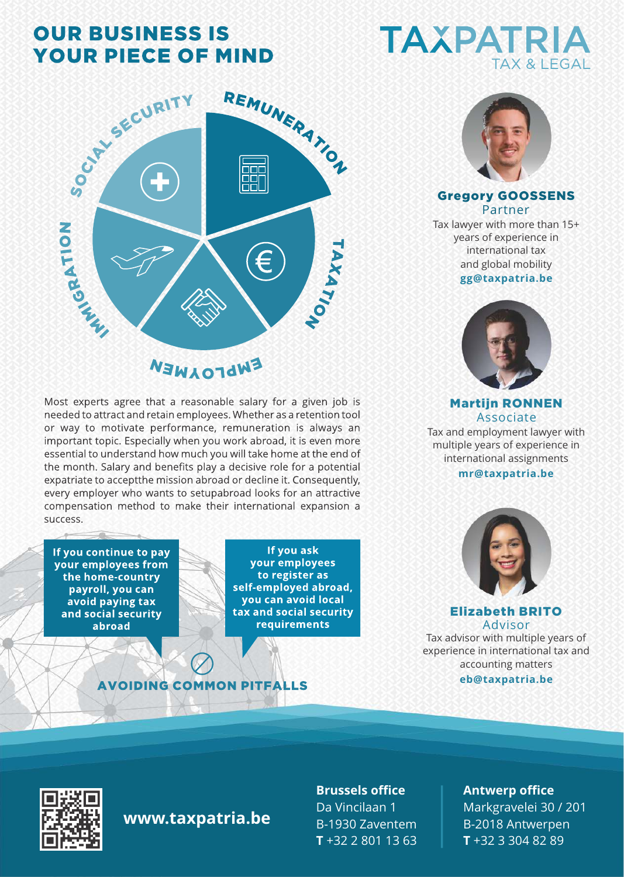# **OUR BUSINESS IS YOUR PIECE OF MIND**



## **FWLOJNEW**

Most experts agree that a reasonable salary for a given job is needed to attract and retain employees. Whether as a retention tool or way to motivate performance, remuneration is always an important topic. Especially when you work abroad, it is even more essential to understand how much you will take home at the end of the month. Salary and benefits play a decisive role for a potential expatriate to acceptthe mission abroad or decline it. Consequently, every employer who wants to setupabroad looks for an attractive compensation method to make their international expansion a success.

If you continue to pay vour employees from the home-country payroll, you can avoid paying tax and social security abroad

If you ask your employees to register as self-employed abroad, you can avoid local tax and social security requirements

#### **AVOIDING COMMON PITFALLS**

# **TAXPATRIA TAX & LEGAL**



#### Gregory GOOSSENS Partner

**gg@taxpatria.be**  Tax lawyer with more than 15+ years of experience in international tax and global mobility



Martijn RONNEN Associate Tax and employment lawyer with multiple years of experience in international assignments

#### **mr@taxpatria.be**



Elizabeth BRITO Advisor

**eb@taxpatria.be** Tax advisor with multiple years of experience in international tax and accounting matters



### **www.taxpatria.be**

**Brussels office** Da Vincilaan 1 B-1930 Zaventem **T** +32 2 801 13 63

#### **Antwerp office**

Markgravelei 30 / 201 B-2018 Antwerpen **T** +32 3 304 82 89